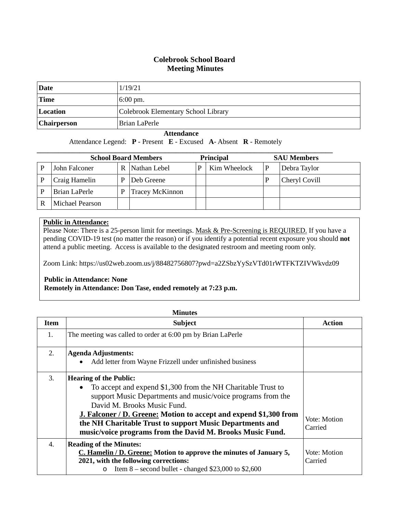## **Colebrook School Board Meeting Minutes**

| Date               | 1/19/21                             |
|--------------------|-------------------------------------|
| <b>Time</b>        | $6:00 \text{ pm}$ .                 |
| Location           | Colebrook Elementary School Library |
| <b>Chairperson</b> | Brian LaPerle                       |

## **Attendance**

Attendance Legend: **P** - Present **E** - Excused **A**- Absent **R** - Remotely

| <b>School Board Members</b> |                 |   | <b>Principal</b>       |  | <b>SAU Members</b> |               |
|-----------------------------|-----------------|---|------------------------|--|--------------------|---------------|
|                             | John Falconer   | R | Nathan Lebel           |  | Kim Wheelock       | Debra Taylor  |
|                             | Craig Hamelin   | P | Deb Greene             |  |                    | Cheryl Covill |
|                             | Brian LaPerle   | P | <b>Tracey McKinnon</b> |  |                    |               |
|                             | Michael Pearson |   |                        |  |                    |               |

## **Public in Attendance:**

Please Note: There is a 25-person limit for meetings. Mask & Pre-Screening is REQUIRED. If you have a pending COVID-19 test (no matter the reason) or if you identify a potential recent exposure you should **not** attend a public meeting. Access is available to the designated restroom and meeting room only.

Zoom Link: https://us02web.zoom.us/j/88482756807?pwd=a2ZSbzYySzVTd01rWTFKTZIVWkvdz09

## **Public in Attendance: None**

**Remotely in Attendance: Don Tase, ended remotely at 7:23 p.m.**

|                  | <b>Minutes</b>                                                                                                                                                                                                                                                                                                                                                                                                |                         |  |
|------------------|---------------------------------------------------------------------------------------------------------------------------------------------------------------------------------------------------------------------------------------------------------------------------------------------------------------------------------------------------------------------------------------------------------------|-------------------------|--|
| <b>Item</b>      | <b>Subject</b>                                                                                                                                                                                                                                                                                                                                                                                                | <b>Action</b>           |  |
| 1.               | The meeting was called to order at 6:00 pm by Brian LaPerle                                                                                                                                                                                                                                                                                                                                                   |                         |  |
| 2.               | <b>Agenda Adjustments:</b><br>Add letter from Wayne Frizzell under unfinished business<br>$\bullet$                                                                                                                                                                                                                                                                                                           |                         |  |
| 3.               | <b>Hearing of the Public:</b><br>To accept and expend \$1,300 from the NH Charitable Trust to<br>$\bullet$<br>support Music Departments and music/voice programs from the<br>David M. Brooks Music Fund.<br><b>J. Falconer / D. Greene: Motion to accept and expend \$1,300 from</b><br>the NH Charitable Trust to support Music Departments and<br>music/voice programs from the David M. Brooks Music Fund. | Vote: Motion<br>Carried |  |
| $\overline{4}$ . | <b>Reading of the Minutes:</b><br>C. Hamelin / D. Greene: Motion to approve the minutes of January 5,<br>2021, with the following corrections:<br>Item $8$ – second bullet - changed \$23,000 to \$2,600<br>$\circ$                                                                                                                                                                                           | Vote: Motion<br>Carried |  |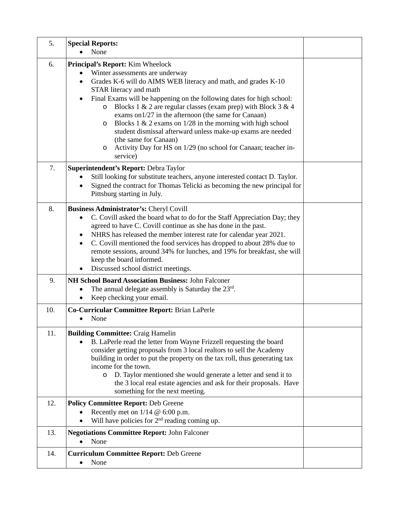| 5.  | <b>Special Reports:</b><br>None                                                                                                                                                                                                                                                                                                                                                                                                                                                                                                                                                                                                                  |  |
|-----|--------------------------------------------------------------------------------------------------------------------------------------------------------------------------------------------------------------------------------------------------------------------------------------------------------------------------------------------------------------------------------------------------------------------------------------------------------------------------------------------------------------------------------------------------------------------------------------------------------------------------------------------------|--|
| 6.  | Principal's Report: Kim Wheelock<br>Winter assessments are underway<br>Grades K-6 will do AIMS WEB literacy and math, and grades K-10<br>$\bullet$<br>STAR literacy and math<br>Final Exams will be happening on the following dates for high school:<br>Blocks 1 & 2 are regular classes (exam prep) with Block 3 & 4<br>$\circ$<br>exams on 1/27 in the afternoon (the same for Canaan)<br>Blocks 1 $\&$ 2 exams on 1/28 in the morning with high school<br>O<br>student dismissal afterward unless make-up exams are needed<br>(the same for Canaan)<br>Activity Day for HS on 1/29 (no school for Canaan; teacher in-<br>$\circ$<br>service) |  |
| 7.  | Superintendent's Report: Debra Taylor<br>Still looking for substitute teachers, anyone interested contact D. Taylor.<br>Signed the contract for Thomas Telicki as becoming the new principal for<br>$\bullet$<br>Pittsburg starting in July.                                                                                                                                                                                                                                                                                                                                                                                                     |  |
| 8.  | Business Administrator's: Cheryl Covill<br>C. Covill asked the board what to do for the Staff Appreciation Day; they<br>$\bullet$<br>agreed to have C. Covill continue as she has done in the past.<br>NHRS has released the member interest rate for calendar year 2021.<br>C. Covill mentioned the food services has dropped to about 28% due to<br>remote sessions, around 34% for lunches, and 19% for breakfast, she will<br>keep the board informed.<br>Discussed school district meetings.                                                                                                                                                |  |
| 9.  | NH School Board Association Business: John Falconer<br>The annual delegate assembly is Saturday the 23rd.<br>٠<br>Keep checking your email.                                                                                                                                                                                                                                                                                                                                                                                                                                                                                                      |  |
| 10. | Co-Curricular Committee Report: Brian LaPerle<br>None                                                                                                                                                                                                                                                                                                                                                                                                                                                                                                                                                                                            |  |
| 11. | <b>Building Committee: Craig Hamelin</b><br>B. LaPerle read the letter from Wayne Frizzell requesting the board<br>consider getting proposals from 3 local realtors to sell the Academy<br>building in order to put the property on the tax roll, thus generating tax<br>income for the town.<br>D. Taylor mentioned she would generate a letter and send it to<br>$\circ$<br>the 3 local real estate agencies and ask for their proposals. Have<br>something for the next meeting.                                                                                                                                                              |  |
| 12. | <b>Policy Committee Report: Deb Greene</b><br>Recently met on $1/14 \& 6:00 \text{ p.m.}$<br>Will have policies for $2nd$ reading coming up.                                                                                                                                                                                                                                                                                                                                                                                                                                                                                                     |  |
| 13. | <b>Negotiations Committee Report: John Falconer</b><br>None                                                                                                                                                                                                                                                                                                                                                                                                                                                                                                                                                                                      |  |
| 14. | <b>Curriculum Committee Report: Deb Greene</b><br>None<br>$\bullet$                                                                                                                                                                                                                                                                                                                                                                                                                                                                                                                                                                              |  |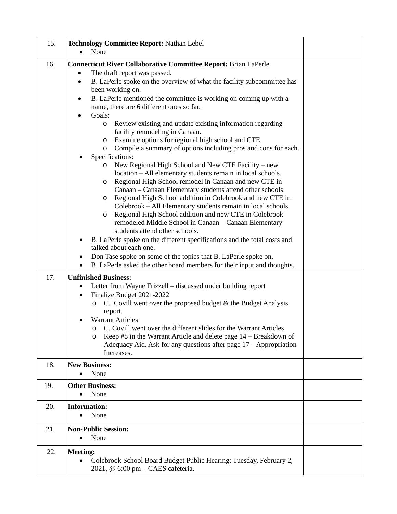| 15. | <b>Technology Committee Report: Nathan Lebel</b>                                                       |  |
|-----|--------------------------------------------------------------------------------------------------------|--|
|     | None<br>$\bullet$                                                                                      |  |
| 16. | <b>Connecticut River Collaborative Committee Report: Brian LaPerle</b>                                 |  |
|     | The draft report was passed.                                                                           |  |
|     | B. LaPerle spoke on the overview of what the facility subcommittee has<br>$\bullet$                    |  |
|     | been working on.                                                                                       |  |
|     | B. LaPerle mentioned the committee is working on coming up with a<br>$\bullet$                         |  |
|     | name, there are 6 different ones so far.                                                               |  |
|     | Goals:                                                                                                 |  |
|     | Review existing and update existing information regarding<br>$\circ$<br>facility remodeling in Canaan. |  |
|     | Examine options for regional high school and CTE.<br>$\circ$                                           |  |
|     | Compile a summary of options including pros and cons for each.<br>$\circ$                              |  |
|     | Specifications:                                                                                        |  |
|     | New Regional High School and New CTE Facility – new<br>O                                               |  |
|     | location - All elementary students remain in local schools.                                            |  |
|     | Regional High School remodel in Canaan and new CTE in<br>$\circ$                                       |  |
|     | Canaan - Canaan Elementary students attend other schools.                                              |  |
|     | Regional High School addition in Colebrook and new CTE in<br>$\circ$                                   |  |
|     | Colebrook - All Elementary students remain in local schools.                                           |  |
|     | Regional High School addition and new CTE in Colebrook<br>$\circ$                                      |  |
|     | remodeled Middle School in Canaan - Canaan Elementary<br>students attend other schools.                |  |
|     | B. LaPerle spoke on the different specifications and the total costs and                               |  |
|     | talked about each one.                                                                                 |  |
|     | Don Tase spoke on some of the topics that B. LaPerle spoke on.                                         |  |
|     | B. LaPerle asked the other board members for their input and thoughts.<br>$\bullet$                    |  |
| 17. | <b>Unfinished Business:</b>                                                                            |  |
|     | Letter from Wayne Frizzell – discussed under building report<br>٠                                      |  |
|     | Finalize Budget 2021-2022<br>٠                                                                         |  |
|     | C. Covill went over the proposed budget $\&$ the Budget Analysis<br>$\circ$                            |  |
|     | report.                                                                                                |  |
|     | <b>Warrant Articles</b>                                                                                |  |
|     | C. Covill went over the different slides for the Warrant Articles                                      |  |
|     | Keep $#8$ in the Warrant Article and delete page $14 -$ Breakdown of<br>O                              |  |
|     | Adequacy Aid. Ask for any questions after page $17 -$ Appropriation                                    |  |
|     | Increases.                                                                                             |  |
| 18. | <b>New Business:</b>                                                                                   |  |
|     | None<br>$\bullet$                                                                                      |  |
| 19. | <b>Other Business:</b>                                                                                 |  |
|     | None<br>$\bullet$                                                                                      |  |
| 20. | <b>Information:</b>                                                                                    |  |
|     | None                                                                                                   |  |
| 21. | <b>Non-Public Session:</b>                                                                             |  |
|     | None<br>$\bullet$                                                                                      |  |
|     |                                                                                                        |  |
| 22. | <b>Meeting:</b>                                                                                        |  |
|     | Colebrook School Board Budget Public Hearing: Tuesday, February 2,<br>$\bullet$                        |  |
|     | 2021, @ 6:00 pm - CAES cafeteria.                                                                      |  |